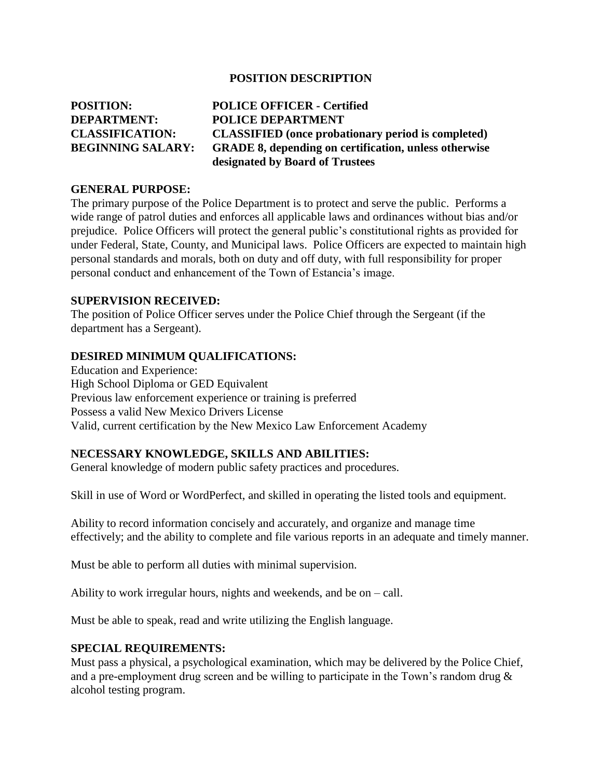### **POSITION DESCRIPTION**

| <b>POSITION:</b>         | <b>POLICE OFFICER - Certified</b>                            |
|--------------------------|--------------------------------------------------------------|
| <b>DEPARTMENT:</b>       | <b>POLICE DEPARTMENT</b>                                     |
| <b>CLASSIFICATION:</b>   | <b>CLASSIFIED</b> (once probationary period is completed)    |
| <b>BEGINNING SALARY:</b> | <b>GRADE 8, depending on certification, unless otherwise</b> |
|                          | designated by Board of Trustees                              |

#### **GENERAL PURPOSE:**

The primary purpose of the Police Department is to protect and serve the public. Performs a wide range of patrol duties and enforces all applicable laws and ordinances without bias and/or prejudice. Police Officers will protect the general public's constitutional rights as provided for under Federal, State, County, and Municipal laws. Police Officers are expected to maintain high personal standards and morals, both on duty and off duty, with full responsibility for proper personal conduct and enhancement of the Town of Estancia's image.

#### **SUPERVISION RECEIVED:**

The position of Police Officer serves under the Police Chief through the Sergeant (if the department has a Sergeant).

### **DESIRED MINIMUM QUALIFICATIONS:**

Education and Experience: High School Diploma or GED Equivalent Previous law enforcement experience or training is preferred Possess a valid New Mexico Drivers License Valid, current certification by the New Mexico Law Enforcement Academy

### **NECESSARY KNOWLEDGE, SKILLS AND ABILITIES:**

General knowledge of modern public safety practices and procedures.

Skill in use of Word or WordPerfect, and skilled in operating the listed tools and equipment.

Ability to record information concisely and accurately, and organize and manage time effectively; and the ability to complete and file various reports in an adequate and timely manner.

Must be able to perform all duties with minimal supervision.

Ability to work irregular hours, nights and weekends, and be on – call.

Must be able to speak, read and write utilizing the English language.

### **SPECIAL REQUIREMENTS:**

Must pass a physical, a psychological examination, which may be delivered by the Police Chief, and a pre-employment drug screen and be willing to participate in the Town's random drug & alcohol testing program.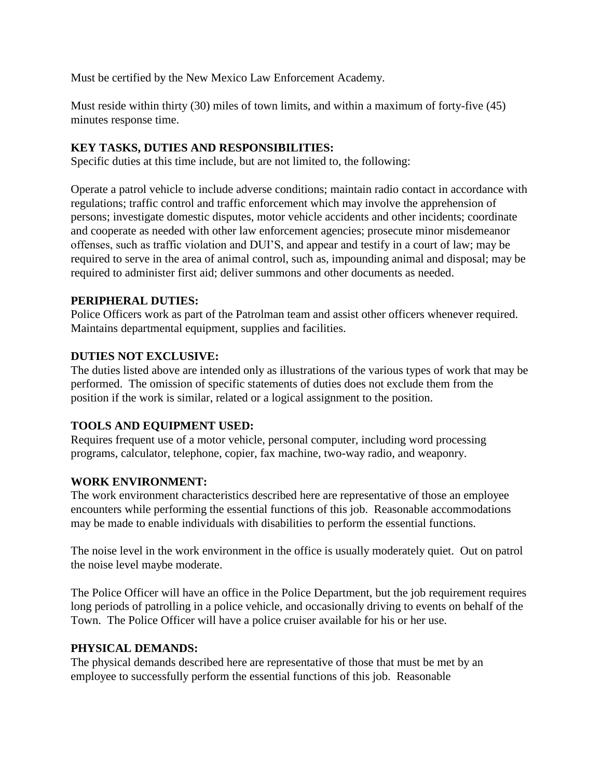Must be certified by the New Mexico Law Enforcement Academy.

Must reside within thirty (30) miles of town limits, and within a maximum of forty-five (45) minutes response time.

## **KEY TASKS, DUTIES AND RESPONSIBILITIES:**

Specific duties at this time include, but are not limited to, the following:

Operate a patrol vehicle to include adverse conditions; maintain radio contact in accordance with regulations; traffic control and traffic enforcement which may involve the apprehension of persons; investigate domestic disputes, motor vehicle accidents and other incidents; coordinate and cooperate as needed with other law enforcement agencies; prosecute minor misdemeanor offenses, such as traffic violation and DUI'S, and appear and testify in a court of law; may be required to serve in the area of animal control, such as, impounding animal and disposal; may be required to administer first aid; deliver summons and other documents as needed.

### **PERIPHERAL DUTIES:**

Police Officers work as part of the Patrolman team and assist other officers whenever required. Maintains departmental equipment, supplies and facilities.

### **DUTIES NOT EXCLUSIVE:**

The duties listed above are intended only as illustrations of the various types of work that may be performed. The omission of specific statements of duties does not exclude them from the position if the work is similar, related or a logical assignment to the position.

# **TOOLS AND EQUIPMENT USED:**

Requires frequent use of a motor vehicle, personal computer, including word processing programs, calculator, telephone, copier, fax machine, two-way radio, and weaponry.

### **WORK ENVIRONMENT:**

The work environment characteristics described here are representative of those an employee encounters while performing the essential functions of this job. Reasonable accommodations may be made to enable individuals with disabilities to perform the essential functions.

The noise level in the work environment in the office is usually moderately quiet. Out on patrol the noise level maybe moderate.

The Police Officer will have an office in the Police Department, but the job requirement requires long periods of patrolling in a police vehicle, and occasionally driving to events on behalf of the Town. The Police Officer will have a police cruiser available for his or her use.

### **PHYSICAL DEMANDS:**

The physical demands described here are representative of those that must be met by an employee to successfully perform the essential functions of this job. Reasonable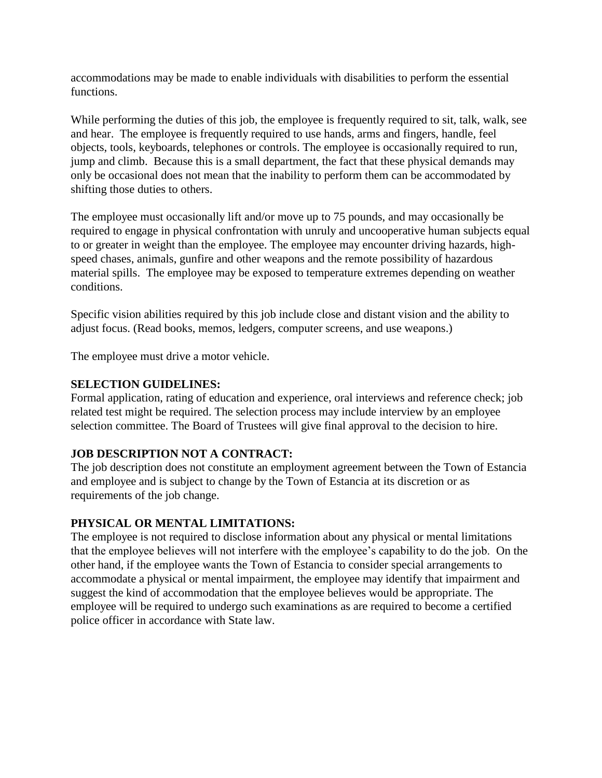accommodations may be made to enable individuals with disabilities to perform the essential functions.

While performing the duties of this job, the employee is frequently required to sit, talk, walk, see and hear. The employee is frequently required to use hands, arms and fingers, handle, feel objects, tools, keyboards, telephones or controls. The employee is occasionally required to run, jump and climb. Because this is a small department, the fact that these physical demands may only be occasional does not mean that the inability to perform them can be accommodated by shifting those duties to others.

The employee must occasionally lift and/or move up to 75 pounds, and may occasionally be required to engage in physical confrontation with unruly and uncooperative human subjects equal to or greater in weight than the employee. The employee may encounter driving hazards, highspeed chases, animals, gunfire and other weapons and the remote possibility of hazardous material spills. The employee may be exposed to temperature extremes depending on weather conditions.

Specific vision abilities required by this job include close and distant vision and the ability to adjust focus. (Read books, memos, ledgers, computer screens, and use weapons.)

The employee must drive a motor vehicle.

## **SELECTION GUIDELINES:**

Formal application, rating of education and experience, oral interviews and reference check; job related test might be required. The selection process may include interview by an employee selection committee. The Board of Trustees will give final approval to the decision to hire.

# **JOB DESCRIPTION NOT A CONTRACT:**

The job description does not constitute an employment agreement between the Town of Estancia and employee and is subject to change by the Town of Estancia at its discretion or as requirements of the job change.

# **PHYSICAL OR MENTAL LIMITATIONS:**

The employee is not required to disclose information about any physical or mental limitations that the employee believes will not interfere with the employee's capability to do the job. On the other hand, if the employee wants the Town of Estancia to consider special arrangements to accommodate a physical or mental impairment, the employee may identify that impairment and suggest the kind of accommodation that the employee believes would be appropriate. The employee will be required to undergo such examinations as are required to become a certified police officer in accordance with State law.